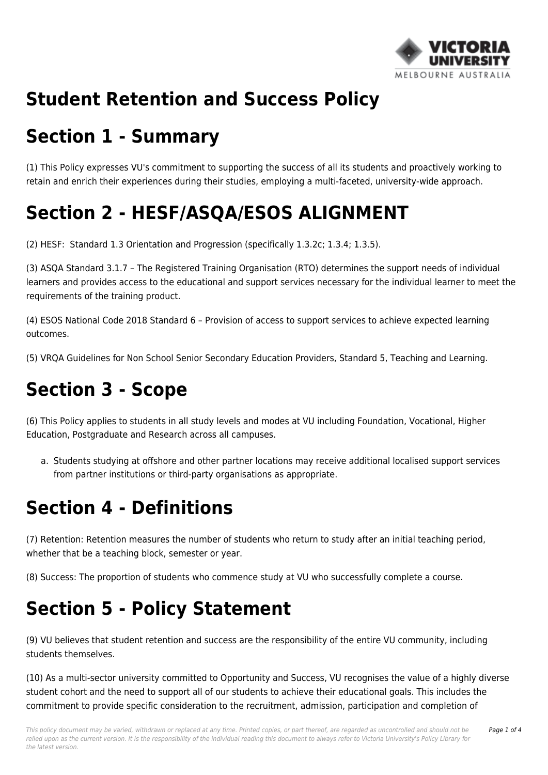

### **Student Retention and Success Policy**

#### **Section 1 - Summary**

(1) This Policy expresses VU's commitment to supporting the success of all its students and proactively working to retain and enrich their experiences during their studies, employing a multi-faceted, university-wide approach.

# **Section 2 - HESF/ASQA/ESOS ALIGNMENT**

(2) HESF: Standard 1.3 Orientation and Progression (specifically 1.3.2c; 1.3.4; 1.3.5).

(3) ASQA Standard 3.1.7 – The Registered Training Organisation (RTO) determines the support needs of individual learners and provides access to the educational and support services necessary for the individual learner to meet the requirements of the training product.

(4) ESOS National Code 2018 Standard 6 – Provision of access to support services to achieve expected learning outcomes.

(5) VRQA Guidelines for Non School Senior Secondary Education Providers, Standard 5, Teaching and Learning.

### **Section 3 - Scope**

(6) This Policy applies to students in all study levels and modes at VU including Foundation, Vocational, Higher Education, Postgraduate and Research across all campuses.

a. Students studying at offshore and other partner locations may receive additional localised support services from partner institutions or third-party organisations as appropriate.

#### **Section 4 - Definitions**

(7) Retention: Retention measures the number of students who return to study after an initial teaching period, whether that be a teaching block, semester or year.

(8) Success: The proportion of students who commence study at VU who successfully complete a course.

### **Section 5 - Policy Statement**

(9) VU believes that student retention and success are the responsibility of the entire VU community, including students themselves.

(10) As a multi-sector university committed to Opportunity and Success, VU recognises the value of a highly diverse student cohort and the need to support all of our students to achieve their educational goals. This includes the commitment to provide specific consideration to the recruitment, admission, participation and completion of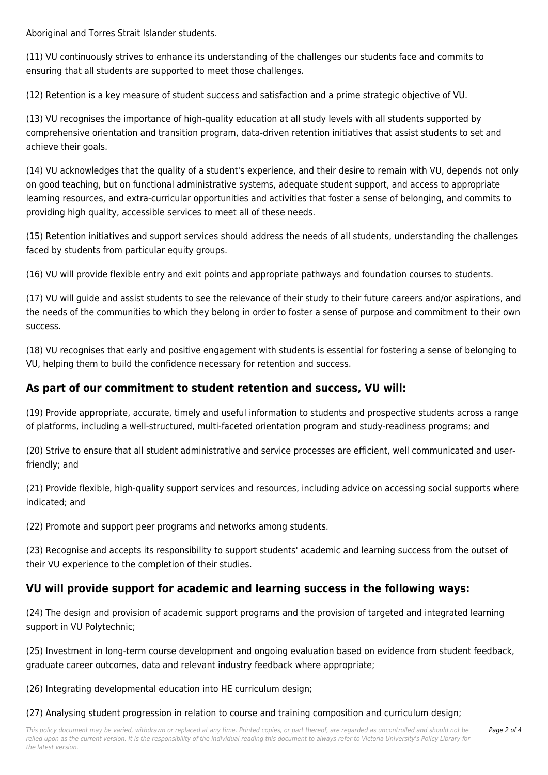Aboriginal and Torres Strait Islander students.

(11) VU continuously strives to enhance its understanding of the challenges our students face and commits to ensuring that all students are supported to meet those challenges.

(12) Retention is a key measure of student success and satisfaction and a prime strategic objective of VU.

(13) VU recognises the importance of high-quality education at all study levels with all students supported by comprehensive orientation and transition program, data-driven retention initiatives that assist students to set and achieve their goals.

(14) VU acknowledges that the quality of a student's experience, and their desire to remain with VU, depends not only on good teaching, but on functional administrative systems, adequate student support, and access to appropriate learning resources, and extra-curricular opportunities and activities that foster a sense of belonging, and commits to providing high quality, accessible services to meet all of these needs.

(15) Retention initiatives and support services should address the needs of all students, understanding the challenges faced by students from particular equity groups.

(16) VU will provide flexible entry and exit points and appropriate pathways and foundation courses to students.

(17) VU will guide and assist students to see the relevance of their study to their future careers and/or aspirations, and the needs of the communities to which they belong in order to foster a sense of purpose and commitment to their own success.

(18) VU recognises that early and positive engagement with students is essential for fostering a sense of belonging to VU, helping them to build the confidence necessary for retention and success.

#### **As part of our commitment to student retention and success, VU will:**

(19) Provide appropriate, accurate, timely and useful information to students and prospective students across a range of platforms, including a well-structured, multi-faceted orientation program and study-readiness programs; and

(20) Strive to ensure that all student administrative and service processes are efficient, well communicated and userfriendly; and

(21) Provide flexible, high-quality support services and resources, including advice on accessing social supports where indicated; and

(22) Promote and support peer programs and networks among students.

(23) Recognise and accepts its responsibility to support students' academic and learning success from the outset of their VU experience to the completion of their studies.

#### **VU will provide support for academic and learning success in the following ways:**

(24) The design and provision of academic support programs and the provision of targeted and integrated learning support in VU Polytechnic;

(25) Investment in long-term course development and ongoing evaluation based on evidence from student feedback, graduate career outcomes, data and relevant industry feedback where appropriate;

Page 2 of 4

(26) Integrating developmental education into HE curriculum design;

(27) Analysing student progression in relation to course and training composition and curriculum design;

This policy document may be varied, withdrawn or replaced at any time. Printed copies, or part thereof, are regarded as uncontrolled and should not be relied upon as the current version. It is the responsibility of the individual reading this document to always refer to Victoria University's Policy Library for the latest version.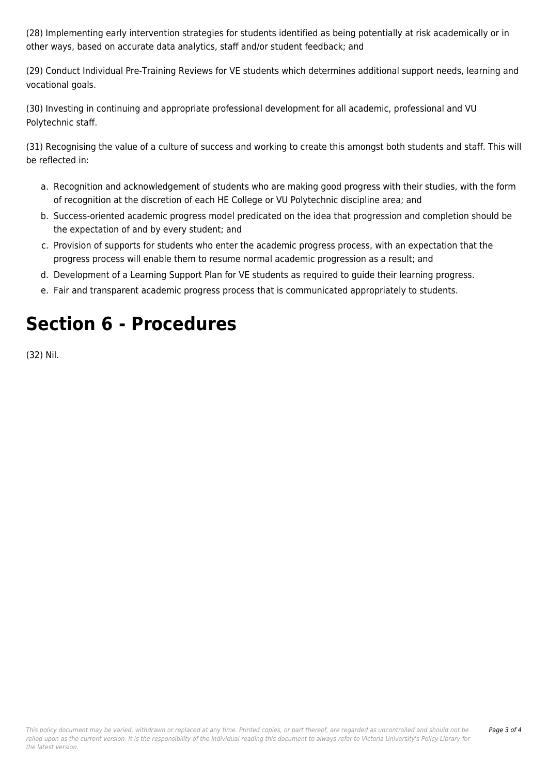(28) Implementing early intervention strategies for students identified as being potentially at risk academically or in other ways, based on accurate data analytics, staff and/or student feedback; and

(29) Conduct Individual Pre-Training Reviews for VE students which determines additional support needs, learning and vocational goals.

(30) Investing in continuing and appropriate professional development for all academic, professional and VU Polytechnic staff.

(31) Recognising the value of a culture of success and working to create this amongst both students and staff. This will be reflected in:

- a. Recognition and acknowledgement of students who are making good progress with their studies, with the form of recognition at the discretion of each HE College or VU Polytechnic discipline area; and
- b. Success-oriented academic progress model predicated on the idea that progression and completion should be the expectation of and by every student; and
- c. Provision of supports for students who enter the academic progress process, with an expectation that the progress process will enable them to resume normal academic progression as a result; and
- d. Development of a Learning Support Plan for VE students as required to guide their learning progress.
- e. Fair and transparent academic progress process that is communicated appropriately to students.

## **Section 6 - Procedures**

(32) Nil.